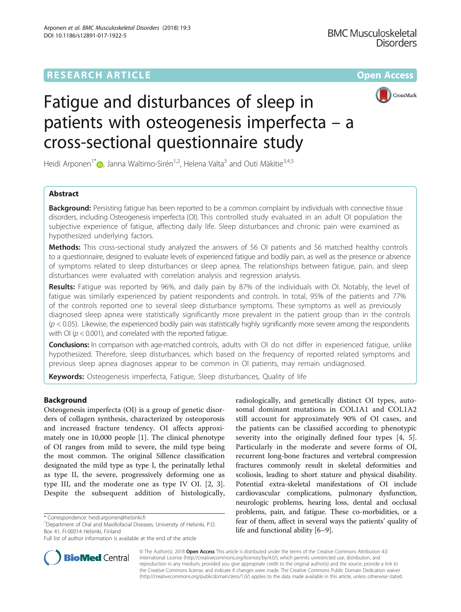# **RESEARCH ARTICLE Example 2014 12:30 The Contract of Contract ACCESS**



# Fatigue and disturbances of sleep in patients with osteogenesis imperfecta – a cross-sectional questionnaire study

Heidi Arponen<sup>1\*</sup> , Janna Waltimo-Sirén<sup>1,2</sup>, Helena Valta<sup>3</sup> and Outi Mäkitie<sup>3,4,5</sup>

# Abstract

**Background:** Persisting fatigue has been reported to be a common complaint by individuals with connective tissue disorders, including Osteogenesis imperfecta (OI). This controlled study evaluated in an adult OI population the subjective experience of fatigue, affecting daily life. Sleep disturbances and chronic pain were examined as hypothesized underlying factors.

Methods: This cross-sectional study analyzed the answers of 56 OI patients and 56 matched healthy controls to a questionnaire, designed to evaluate levels of experienced fatigue and bodily pain, as well as the presence or absence of symptoms related to sleep disturbances or sleep apnea. The relationships between fatigue, pain, and sleep disturbances were evaluated with correlation analysis and regression analysis.

Results: Fatigue was reported by 96%, and daily pain by 87% of the individuals with OI. Notably, the level of fatigue was similarly experienced by patient respondents and controls. In total, 95% of the patients and 77% of the controls reported one to several sleep disturbance symptoms. These symptoms as well as previously diagnosed sleep apnea were statistically significantly more prevalent in the patient group than in the controls  $(p < 0.05)$ . Likewise, the experienced bodily pain was statistically highly significantly more severe among the respondents with OI ( $p < 0.001$ ), and correlated with the reported fatigue.

Conclusions: In comparison with age-matched controls, adults with OI do not differ in experienced fatigue, unlike hypothesized. Therefore, sleep disturbances, which based on the frequency of reported related symptoms and previous sleep apnea diagnoses appear to be common in OI patients, may remain undiagnosed.

Keywords: Osteogenesis imperfecta, Fatigue, Sleep disturbances, Quality of life

# Background

Osteogenesis imperfecta (OI) is a group of genetic disorders of collagen synthesis, characterized by osteoporosis and increased fracture tendency. OI affects approximately one in 10,000 people [[1\]](#page-5-0). The clinical phenotype of OI ranges from mild to severe, the mild type being the most common. The original Sillence classification designated the mild type as type I, the perinatally lethal as type II, the severe, progressively deforming one as type III, and the moderate one as type IV OI. [\[2](#page-5-0), [3](#page-5-0)]. Despite the subsequent addition of histologically,

<sup>1</sup>Department of Oral and Maxillofacial Diseases, University of Helsinki, P.O. Box 41, FI-00014 Helsinki, Finland



**BioMed Central** 

© The Author(s). 2018 Open Access This article is distributed under the terms of the Creative Commons Attribution 4.0 International License [\(http://creativecommons.org/licenses/by/4.0/](http://creativecommons.org/licenses/by/4.0/)), which permits unrestricted use, distribution, and reproduction in any medium, provided you give appropriate credit to the original author(s) and the source, provide a link to the Creative Commons license, and indicate if changes were made. The Creative Commons Public Domain Dedication waiver [\(http://creativecommons.org/publicdomain/zero/1.0/](http://creativecommons.org/publicdomain/zero/1.0/)) applies to the data made available in this article, unless otherwise stated.

<sup>\*</sup> Correspondence: [heidi.arponen@helsinki.fi](mailto:heidi.arponen@helsinki.fi) <sup>1</sup>

Full list of author information is available at the end of the article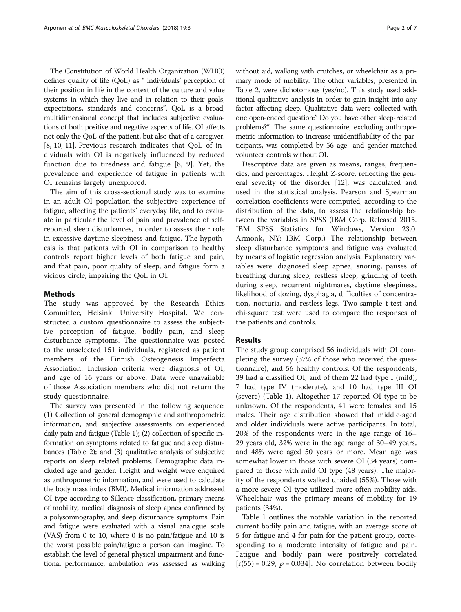The Constitution of World Health Organization (WHO) defines quality of life (QoL) as " individuals' perception of their position in life in the context of the culture and value systems in which they live and in relation to their goals, expectations, standards and concerns". QoL is a broad, multidimensional concept that includes subjective evaluations of both positive and negative aspects of life. OI affects not only the QoL of the patient, but also that of a caregiver. [[8](#page-5-0), [10, 11\]](#page-5-0). Previous research indicates that QoL of individuals with OI is negatively influenced by reduced function due to tiredness and fatigue [[8, 9\]](#page-5-0). Yet, the prevalence and experience of fatigue in patients with OI remains largely unexplored.

The aim of this cross-sectional study was to examine in an adult OI population the subjective experience of fatigue, affecting the patients' everyday life, and to evaluate in particular the level of pain and prevalence of selfreported sleep disturbances, in order to assess their role in excessive daytime sleepiness and fatigue. The hypothesis is that patients with OI in comparison to healthy controls report higher levels of both fatigue and pain, and that pain, poor quality of sleep, and fatigue form a vicious circle, impairing the QoL in OI.

## Methods

The study was approved by the Research Ethics Committee, Helsinki University Hospital. We constructed a custom questionnaire to assess the subjective perception of fatigue, bodily pain, and sleep disturbance symptoms. The questionnaire was posted to the unselected 151 individuals, registered as patient members of the Finnish Osteogenesis Imperfecta Association. Inclusion criteria were diagnosis of OI, and age of 16 years or above. Data were unavailable of those Association members who did not return the study questionnaire.

The survey was presented in the following sequence: (1) Collection of general demographic and anthropometric information, and subjective assessments on experienced daily pain and fatigue (Table [1](#page-2-0)); (2) collection of specific information on symptoms related to fatigue and sleep disturbances (Table [2](#page-2-0)); and (3) qualitative analysis of subjective reports on sleep related problems. Demographic data included age and gender. Height and weight were enquired as anthropometric information, and were used to calculate the body mass index (BMI). Medical information addressed OI type according to Sillence classification, primary means of mobility, medical diagnosis of sleep apnea confirmed by a polysomnography, and sleep disturbance symptoms. Pain and fatigue were evaluated with a visual analogue scale (VAS) from 0 to 10, where 0 is no pain/fatigue and 10 is the worst possible pain/fatigue a person can imagine. To establish the level of general physical impairment and functional performance, ambulation was assessed as walking without aid, walking with crutches, or wheelchair as a primary mode of mobility. The other variables, presented in Table [2](#page-2-0), were dichotomous (yes/no). This study used additional qualitative analysis in order to gain insight into any factor affecting sleep. Qualitative data were collected with one open-ended question:" Do you have other sleep-related problems?". The same questionnaire, excluding anthropometric information to increase unidentifiability of the participants, was completed by 56 age- and gender-matched volunteer controls without OI.

Descriptive data are given as means, ranges, frequencies, and percentages. Height Z-score, reflecting the general severity of the disorder [[12\]](#page-5-0), was calculated and used in the statistical analysis. Pearson and Spearman correlation coefficients were computed, according to the distribution of the data, to assess the relationship between the variables in SPSS (IBM Corp. Released 2015. IBM SPSS Statistics for Windows, Version 23.0. Armonk, NY: IBM Corp.) The relationship between sleep disturbance symptoms and fatigue was evaluated by means of logistic regression analysis. Explanatory variables were: diagnosed sleep apnea, snoring, pauses of breathing during sleep, restless sleep, grinding of teeth during sleep, recurrent nightmares, daytime sleepiness, likelihood of dozing, dysphagia, difficulties of concentration, nocturia, and restless legs. Two-sample t-test and chi-square test were used to compare the responses of the patients and controls.

# Results

The study group comprised 56 individuals with OI completing the survey (37% of those who received the questionnaire), and 56 healthy controls. Of the respondents, 39 had a classified OI, and of them 22 had type I (mild), 7 had type IV (moderate), and 10 had type III OI (severe) (Table [1\)](#page-2-0). Altogether 17 reported OI type to be unknown. Of the respondents, 41 were females and 15 males. Their age distribution showed that middle-aged and older individuals were active participants. In total, 20% of the respondents were in the age range of 16– 29 years old, 32% were in the age range of 30–49 years, and 48% were aged 50 years or more. Mean age was somewhat lower in those with severe OI (34 years) compared to those with mild OI type (48 years). The majority of the respondents walked unaided (55%). Those with a more severe OI type utilized more often mobility aids. Wheelchair was the primary means of mobility for 19 patients (34%).

Table [1](#page-2-0) outlines the notable variation in the reported current bodily pain and fatigue, with an average score of 5 for fatigue and 4 for pain for the patient group, corresponding to a moderate intensity of fatigue and pain. Fatigue and bodily pain were positively correlated  $[r(55) = 0.29, p = 0.034]$ . No correlation between bodily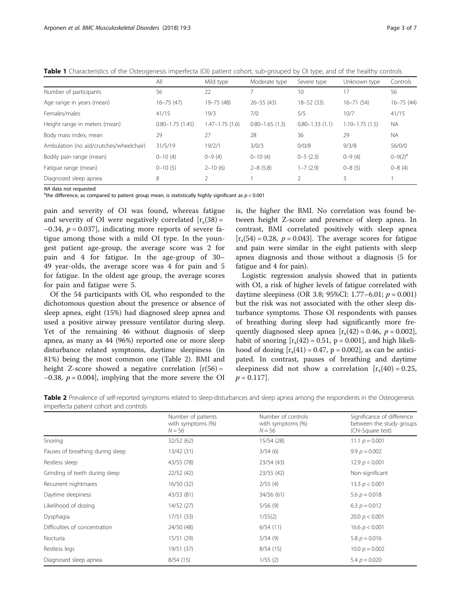<span id="page-2-0"></span>Table 1 Characteristics of the Osteogenesis imperfecta (OI) patient cohort, sub-grouped by OI type, and of the healthy controls

|                                         | All                 | Mild type          | Moderate type      | Severe type        | Unknown type       | Controls       |
|-----------------------------------------|---------------------|--------------------|--------------------|--------------------|--------------------|----------------|
| Number of participants                  | 56                  | 22                 |                    | 10                 |                    | 56             |
| Age range in years (mean)               | $16 - 75(47)$       | $19 - 75(48)$      | $26 - 55(43)$      | $18 - 52(33)$      | $16 - 71(54)$      | $16 - 75(44)$  |
| Females/males                           | 41/15               | 19/3               | 7/0                | 5/5                | 10/7               | 41/15          |
| Height range in meters (mean)           | $0.80 - 1.75(1.45)$ | $1.47 - 1.75(1.6)$ | $0.80 - 1.65(1.3)$ | $0.80 - 1.33(1.1)$ | $1.10 - 1.75(1.5)$ | <b>NA</b>      |
| Body mass index, mean                   | 29                  | 27                 | 28                 | 36                 | 29                 | <b>NA</b>      |
| Ambulation (no aid/crutches/wheelchair) | 31/5/19             | 19/2/1             | 3/0/3              | 0/0/8              | 9/3/8              | 56/0/0         |
| Bodily pain range (mean)                | $0 - 10(4)$         | $0 - 9(4)$         | $0 - 10(4)$        | $0 - 5(2.3)$       | $0 - 9(4)$         | $0 - 9(2)^{a}$ |
| Fatigue range (mean)                    | $0 - 10(5)$         | $2 - 10(6)$        | $2 - 8(5.8)$       | $1 - 7(2.9)$       | $0 - 8(5)$         | $0 - 8(4)$     |
| Diagnosed sleep apnea                   | 8                   |                    |                    | 2                  | 3                  |                |

NA data not requested

<sup>a</sup>the difference, as compared to patient group mean, is statistically highly significant as  $p < 0.001$ 

pain and severity of OI was found, whereas fatigue and severity of OI were negatively correlated  $[r_s(38) =$  $-0.34$ ,  $p = 0.037$ , indicating more reports of severe fatigue among those with a mild OI type. In the youngest patient age-group, the average score was 2 for pain and 4 for fatigue. In the age-group of 30– 49 year-olds, the average score was 4 for pain and 5 for fatigue. In the oldest age group, the average scores for pain and fatigue were 5.

Of the 54 participants with OI, who responded to the dichotomous question about the presence or absence of sleep apnea, eight (15%) had diagnosed sleep apnea and used a positive airway pressure ventilator during sleep. Yet of the remaining 46 without diagnosis of sleep apnea, as many as 44 (96%) reported one or more sleep disturbance related symptoms, daytime sleepiness (in 81%) being the most common one (Table 2). BMI and height Z-score showed a negative correlation  $[r(56) =$ −0.38,  $p = 0.004$ , implying that the more severe the OI

is, the higher the BMI. No correlation was found between height Z-score and presence of sleep apnea. In contrast, BMI correlated positively with sleep apnea  $[r<sub>s</sub>(54) = 0.28, p = 0.043]$ . The average scores for fatigue and pain were similar in the eight patients with sleep apnea diagnosis and those without a diagnosis (5 for fatigue and 4 for pain).

Logistic regression analysis showed that in patients with OI, a risk of higher levels of fatigue correlated with daytime sleepiness (OR 3.8; 95%CI: 1.77–6.01;  $p = 0.001$ ) but the risk was not associated with the other sleep disturbance symptoms. Those OI respondents with pauses of breathing during sleep had significantly more frequently diagnosed sleep apnea  $[r_s(42) = 0.46, p = 0.002]$ , habit of snoring  $[r_s(42) = 0.51, p = 0.001]$ , and high likelihood of dozing  $[r_s(41) = 0.47, p = 0.002]$ , as can be anticipated. In contrast, pauses of breathing and daytime sleepiness did not show a correlation  $[r_s(40) = 0.25,$  $p = 0.117$ .

Table 2 Prevalence of self-reported symptoms related to sleep-disturbances and sleep apnea among the respondents in the Osteogenesis imperfecta patient cohort and controls

|                                  | Number of patients<br>with symptoms (%)<br>$N = 56$ | Number of controls<br>with symptoms (%)<br>$N = 56$ | Significance of difference<br>between the study groups<br>(Chi-Square test) |
|----------------------------------|-----------------------------------------------------|-----------------------------------------------------|-----------------------------------------------------------------------------|
| Snoring                          | 32/52 (62)                                          | 15/54 (28)                                          | 11.1 $p = 0.001$                                                            |
| Pauses of breathing during sleep | 13/42 (31)                                          | 3/54(6)                                             | 9.9 $p = 0.002$                                                             |
| Restless sleep                   | 43/55 (78)                                          | 23/54(43)                                           | 12.9 $p < 0.001$                                                            |
| Grinding of teeth during sleep   | 22/52 (42)                                          | 23/55(42)                                           | Non-significant                                                             |
| Recurrent nightmares             | 16/50(32)                                           | 2/55(4)                                             | 13.3 $p < 0.001$                                                            |
| Daytime sleepiness               | 43/53 (81)                                          | 34/56 (61)                                          | 5.6 $p = 0.018$                                                             |
| Likelihood of dozing             | 14/52 (27)                                          | 5/56(9)                                             | 6.3 $p = 0.012$                                                             |
| Dysphagia                        | 17/51(33)                                           | 1/55(2)                                             | 20.0 $p < 0.001$                                                            |
| Difficulties of concentration    | 24/50 (48)                                          | 6/54(11)                                            | 16.6 $p < 0.001$                                                            |
| Nocturia                         | 15/51 (29)                                          | 5/54(9)                                             | 5.8 $p = 0.016$                                                             |
| Restless legs                    | 19/51 (37)                                          | 8/54(15)                                            | 10.0 $p = 0.002$                                                            |
| Diagnosed sleep apnea            | 8/54(15)                                            | 1/55(2)                                             | 5.4 $p = 0.020$                                                             |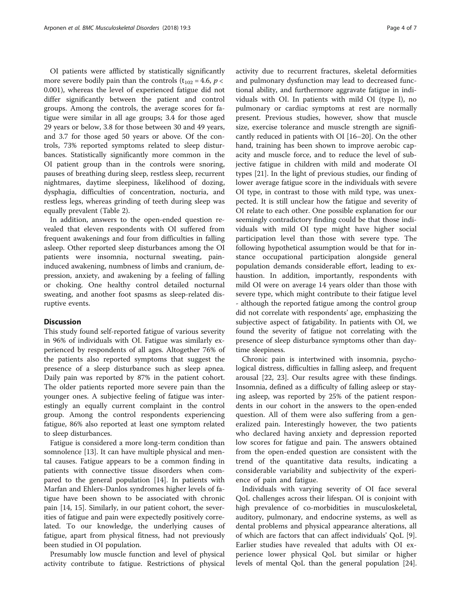OI patients were afflicted by statistically significantly more severe bodily pain than the controls  $(t_{102} = 4.6, p <$ 0.001), whereas the level of experienced fatigue did not differ significantly between the patient and control groups. Among the controls, the average scores for fatigue were similar in all age groups; 3.4 for those aged 29 years or below, 3.8 for those between 30 and 49 years, and 3.7 for those aged 50 years or above. Of the controls, 73% reported symptoms related to sleep disturbances. Statistically significantly more common in the OI patient group than in the controls were snoring, pauses of breathing during sleep, restless sleep, recurrent nightmares, daytime sleepiness, likelihood of dozing, dysphagia, difficulties of concentration, nocturia, and restless legs, whereas grinding of teeth during sleep was equally prevalent (Table [2](#page-2-0)).

In addition, answers to the open-ended question revealed that eleven respondents with OI suffered from frequent awakenings and four from difficulties in falling asleep. Other reported sleep disturbances among the OI patients were insomnia, nocturnal sweating, paininduced awakening, numbness of limbs and cranium, depression, anxiety, and awakening by a feeling of falling or choking. One healthy control detailed nocturnal sweating, and another foot spasms as sleep-related disruptive events.

# **Discussion**

This study found self-reported fatigue of various severity in 96% of individuals with OI. Fatigue was similarly experienced by respondents of all ages. Altogether 76% of the patients also reported symptoms that suggest the presence of a sleep disturbance such as sleep apnea. Daily pain was reported by 87% in the patient cohort. The older patients reported more severe pain than the younger ones. A subjective feeling of fatigue was interestingly an equally current complaint in the control group. Among the control respondents experiencing fatigue, 86% also reported at least one symptom related to sleep disturbances.

Fatigue is considered a more long-term condition than somnolence [[13](#page-5-0)]. It can have multiple physical and mental causes. Fatigue appears to be a common finding in patients with connective tissue disorders when compared to the general population [[14\]](#page-5-0). In patients with Marfan and Ehlers-Danlos syndromes higher levels of fatigue have been shown to be associated with chronic pain [[14, 15](#page-5-0)]. Similarly, in our patient cohort, the severities of fatigue and pain were expectedly positively correlated. To our knowledge, the underlying causes of fatigue, apart from physical fitness, had not previously been studied in OI population.

Presumably low muscle function and level of physical activity contribute to fatigue. Restrictions of physical and pulmonary dysfunction may lead to decreased functional ability, and furthermore aggravate fatigue in individuals with OI. In patients with mild OI (type I), no pulmonary or cardiac symptoms at rest are normally present. Previous studies, however, show that muscle size, exercise tolerance and muscle strength are significantly reduced in patients with OI [\[16](#page-5-0)–[20\]](#page-5-0). On the other hand, training has been shown to improve aerobic capacity and muscle force, and to reduce the level of subjective fatigue in children with mild and moderate OI types [[21\]](#page-5-0). In the light of previous studies, our finding of lower average fatigue score in the individuals with severe OI type, in contrast to those with mild type, was unexpected. It is still unclear how the fatigue and severity of OI relate to each other. One possible explanation for our seemingly contradictory finding could be that those individuals with mild OI type might have higher social participation level than those with severe type. The following hypothetical assumption would be that for instance occupational participation alongside general population demands considerable effort, leading to exhaustion. In addition, importantly, respondents with mild OI were on average 14 years older than those with severe type, which might contribute to their fatigue level - although the reported fatigue among the control group did not correlate with respondents' age, emphasizing the subjective aspect of fatigability. In patients with OI, we found the severity of fatigue not correlating with the presence of sleep disturbance symptoms other than daytime sleepiness.

Chronic pain is intertwined with insomnia, psychological distress, difficulties in falling asleep, and frequent arousal [[22](#page-5-0), [23\]](#page-5-0). Our results agree with these findings. Insomnia, defined as a difficulty of falling asleep or staying asleep, was reported by 25% of the patient respondents in our cohort in the answers to the open-ended question. All of them were also suffering from a generalized pain. Interestingly however, the two patients who declared having anxiety and depression reported low scores for fatigue and pain. The answers obtained from the open-ended question are consistent with the trend of the quantitative data results, indicating a considerable variability and subjectivity of the experience of pain and fatigue.

Individuals with varying severity of OI face several QoL challenges across their lifespan. OI is conjoint with high prevalence of co-morbidities in musculoskeletal, auditory, pulmonary, and endocrine systems, as well as dental problems and physical appearance alterations, all of which are factors that can affect individuals' QoL [\[9](#page-5-0)]. Earlier studies have revealed that adults with OI experience lower physical QoL but similar or higher levels of mental QoL than the general population [[24](#page-5-0)].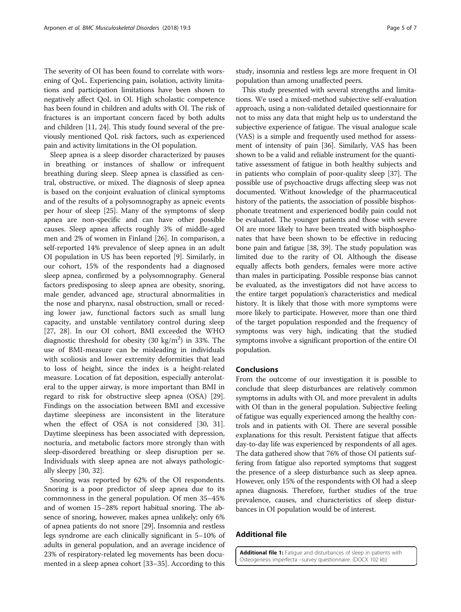<span id="page-4-0"></span>The severity of OI has been found to correlate with worsening of QoL. Experiencing pain, isolation, activity limitations and participation limitations have been shown to negatively affect QoL in OI. High scholastic competence has been found in children and adults with OI. The risk of fractures is an important concern faced by both adults and children [\[11, 24\]](#page-5-0). This study found several of the previously mentioned QoL risk factors, such as experienced pain and activity limitations in the OI population.

Sleep apnea is a sleep disorder characterized by pauses in breathing or instances of shallow or infrequent breathing during sleep. Sleep apnea is classified as central, obstructive, or mixed. The diagnosis of sleep apnea is based on the conjoint evaluation of clinical symptoms and of the results of a polysomnography as apneic events per hour of sleep [[25\]](#page-5-0). Many of the symptoms of sleep apnea are non-specific and can have other possible causes. Sleep apnea affects roughly 3% of middle-aged men and 2% of women in Finland [\[26\]](#page-5-0). In comparison, a self-reported 14% prevalence of sleep apnea in an adult OI population in US has been reported [\[9](#page-5-0)]. Similarly, in our cohort, 15% of the respondents had a diagnosed sleep apnea, confirmed by a polysomnography. General factors predisposing to sleep apnea are obesity, snoring, male gender, advanced age, structural abnormalities in the nose and pharynx, nasal obstruction, small or receding lower jaw, functional factors such as small lung capacity, and unstable ventilatory control during sleep [[27, 28\]](#page-5-0). In our OI cohort, BMI exceeded the WHO diagnostic threshold for obesity (30 kg/m<sup>2</sup>) in 33%. The use of BMI-measure can be misleading in individuals with scoliosis and lower extremity deformities that lead to loss of height, since the index is a height-related measure. Location of fat deposition, especially anterolateral to the upper airway, is more important than BMI in regard to risk for obstructive sleep apnea (OSA) [\[29](#page-5-0)]. Findings on the association between BMI and excessive daytime sleepiness are inconsistent in the literature when the effect of OSA is not considered [\[30](#page-5-0), [31](#page-5-0)]. Daytime sleepiness has been associated with depression, nocturia, and metabolic factors more strongly than with sleep-disordered breathing or sleep disruption per se. Individuals with sleep apnea are not always pathologically sleepy [\[30](#page-5-0), [32](#page-5-0)].

Snoring was reported by 62% of the OI respondents. Snoring is a poor predictor of sleep apnea due to its commonness in the general population. Of men 35–45% and of women 15–28% report habitual snoring. The absence of snoring, however, makes apnea unlikely; only 6% of apnea patients do not snore [[29](#page-5-0)]. Insomnia and restless legs syndrome are each clinically significant in 5–10% of adults in general population, and an average incidence of 23% of respiratory-related leg movements has been documented in a sleep apnea cohort [\[33](#page-5-0)–[35](#page-6-0)]. According to this study, insomnia and restless legs are more frequent in OI population than among unaffected peers.

This study presented with several strengths and limitations. We used a mixed-method subjective self-evaluation approach, using a non-validated detailed questionnaire for not to miss any data that might help us to understand the subjective experience of fatigue. The visual analogue scale (VAS) is a simple and frequently used method for assessment of intensity of pain [[36](#page-6-0)]. Similarly, VAS has been shown to be a valid and reliable instrument for the quantitative assessment of fatigue in both healthy subjects and in patients who complain of poor-quality sleep [\[37\]](#page-6-0). The possible use of psychoactive drugs affecting sleep was not documented. Without knowledge of the pharmaceutical history of the patients, the association of possible bisphosphonate treatment and experienced bodily pain could not be evaluated. The younger patients and those with severe OI are more likely to have been treated with bisphosphonates that have been shown to be effective in reducing bone pain and fatigue [[38](#page-6-0), [39](#page-6-0)]. The study population was limited due to the rarity of OI. Although the disease equally affects both genders, females were more active than males in participating. Possible response bias cannot be evaluated, as the investigators did not have access to the entire target population's characteristics and medical history. It is likely that those with more symptoms were more likely to participate. However, more than one third of the target population responded and the frequency of symptoms was very high, indicating that the studied symptoms involve a significant proportion of the entire OI population.

# Conclusions

From the outcome of our investigation it is possible to conclude that sleep disturbances are relatively common symptoms in adults with OI, and more prevalent in adults with OI than in the general population. Subjective feeling of fatigue was equally experienced among the healthy controls and in patients with OI. There are several possible explanations for this result. Persistent fatigue that affects day-to-day life was experienced by respondents of all ages. The data gathered show that 76% of those OI patients suffering from fatigue also reported symptoms that suggest the presence of a sleep disturbance such as sleep apnea. However, only 15% of the respondents with OI had a sleep apnea diagnosis. Therefore, further studies of the true prevalence, causes, and characteristics of sleep disturbances in OI population would be of interest.

# Additional file

[Additional file 1:](dx.doi.org/10.1186/s12891-017-1922-5) Fatigue and disturbances of sleep in patients with Osteogenesis imperfecta –survey questionnaire. (DOCX 102 kb)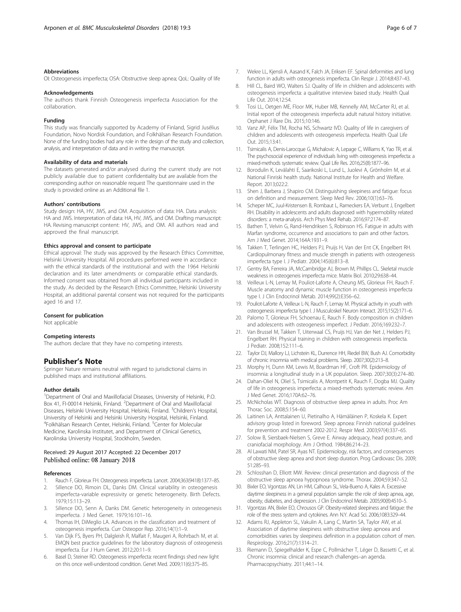## <span id="page-5-0"></span>Abbreviations

OI: Osteogenesis imperfecta; OSA: Obstructive sleep apnea; QoL: Quality of life

#### Acknowledgements

The authors thank Finnish Osteogenesis imperfecta Association for the collaboration.

#### Funding

This study was financially supported by Academy of Finland, Sigrid Jusélius Foundation, Novo Nordisk Foundation, and Folkhälsan Research Foundation. None of the funding bodies had any role in the design of the study and collection, analysis, and interpretation of data and in writing the manuscript.

#### Availability of data and materials

The datasets generated and/or analysed during the current study are not publicly available due to patient confidentiality but are available from the corresponding author on reasonable request The questionnaire used in the study is provided online as an Additional file [1](#page-4-0).

#### Authors' contributions

Study design: HA, HV, JWS, and OM. Acquisition of data: HA. Data analysis: HA and JWS. Interpretation of data: HA, HV, JWS, and OM. Drafting manuscript: HA. Revising manuscript content: HV, JWS, and OM. All authors read and approved the final manuscript.

#### Ethics approval and consent to participate

Ethical approval: The study was approved by the Research Ethics Committee, Helsinki University Hospital. All procedures performed were in accordance with the ethical standards of the institutional and with the 1964 Helsinki declaration and its later amendments or comparable ethical standards. Informed consent was obtained from all individual participants included in the study. As decided by the Research Ethics Committee, Helsinki University Hospital, an additional parental consent was not required for the participants aged 16 and 17.

#### Consent for publication

Not applicable

# Competing interests

The authors declare that they have no competing interests.

## Publisher's Note

Springer Nature remains neutral with regard to jurisdictional claims in published maps and institutional affiliations.

#### Author details

<sup>1</sup>Department of Oral and Maxillofacial Diseases, University of Helsinki, P.O. Box 41, FI-00014 Helsinki, Finland. <sup>2</sup>Department of Oral and Maxillofacial Diseases, Helsinki University Hospital, Helsinki, Finland. <sup>3</sup>Children's Hospital, University of Helsinki and Helsinki University Hospital, Helsinki, Finland. <sup>4</sup>Folkhälsan Research Center, Helsinki, Finland. <sup>5</sup>Center for Molecular Medicine, Karolinska Institutet, and Department of Clinical Genetics, Karolinska University Hospital, Stockholm, Sweden.

# Received: 29 August 2017 Accepted: 22 December 2017 Published online: 08 January 2018

#### References

- Rauch F, Glorieux FH. Osteogenesis imperfecta. Lancet. 2004;363(9418):1377-85.
- 2. Sillence DO, Rimoin DL, Danks DM. Clinical variability in osteogenesis imperfecta-variable expressivity or genetic heterogeneity. Birth Defects. 1979;15:113–29.
- 3. Sillence DO, Senn A, Danks DM. Genetic heterogeneity in osteogenesis imperfecta. J Med Genet. 1979;16:101–16.
- 4. Thomas IH, DiMeglio LA. Advances in the classification and treatment of osteogenesis imperfecta. Curr Osteopor Rep. 2016;14(1):1–9.
- Van Dijk FS, Byers PH, Dalgleish R, Malfait F, Maugeri A, Rohrbach M, et al. EMQN best practice guidelines for the laboratory diagnosis of osteogenesis imperfecta. Eur J Hum Genet. 2012;20:11–9.
- 6. Basel D, Steiner RD. Osteogenesis imperfecta: recent findings shed new light on this once well-understood condition. Genet Med. 2009;11(6):375–85.
- 7. Wekre LL, Kjensli A, Aasand K, Falch JA, Eriksen EF. Spinal deformities and lung function in adults with osteogenesis imperfecta. Clin Respir J. 2014;8:437–43.
- 8. Hill CL, Baird WO, Walters SJ. Quality of life in children and adolescents with osteogenesis imperfecta: a qualitative interview based study. Health Qual Life Out. 2014;12:54.
- 9. Tosi LL, Oetgen ME, Floor MK, Huber MB, Kennelly AM, McCarter RJ, et al. Initial report of the osteogenesis imperfecta adult natural history initiative. Orphanet J Rare Dis. 2015;10:146.
- 10. Vanz AP, Félix TM, Rocha NS, Schwartz IVD. Quality of life in caregivers of children and adolescents with osteogenesis imperfecta. Health Qual Life Out. 2015;13:41.
- 11. Tsimicalis A, Denis-Larocque G, Michalovic A, Lepage C, Williams K, Yao TR, et al. The psychosocial experience of individuals living with osteogenesis imperfecta: a mixed-methods systematic review. Qual Life Res. 2016;25(8):1877–96.
- 12. Borodulin K, Levälahti E, Saarikoski L, Lund L, Juolevi A, Grönholm M, et al. National Finriski health study. National Institute for Health and Welfare. Report. 2013;022:2.
- 13. Shen J, Barbera J, Shapiro CM. Distinguishing sleepiness and fatigue: focus on definition and measurement. Sleep Med Rev. 2006;10(1):63–76.
- 14. Scheper MC, Juul-Kristensen B, Rombaut L, Rameckers EA, Verbunt J, Engelbert RH. Disability in adolescents and adults diagnosed with hypermobility related disorders: a meta-analysis. Arch Phys Med Rehab. 2016;97:2174–87.
- 15. Bathen T, Velvin G, Rand-Hendriksen S, Robinson HS. Fatigue in adults with Marfan syndrome, occurrence and associations to pain and other factors. Am J Med Genet. 2014;164A:1931–9.
- 16. Takken T, Terlingen HC, Helders PJ, Pruijs H, Van der Ent CK, Engelbert RH. Cardiopulmonary fitness and muscle strength in patients with osteogenesis imperfecta type I. J Pediatr. 2004;145(6):813–8.
- 17. Gentry BA, Ferreira JA, McCambridge AJ, Brown M, Phillips CL. Skeletal muscle weakness in osteogeneis imperfecta mice. Matrix Biol. 2010;29:638–44.
- 18. Veilleux L-N, Lemay M, Pouliot-Laforte A, Cheung MS, Glorieux FH, Rauch F. Muscle anatomy and dynamic muscle function in osteogenesis imperfecta type I. J Clin Endocrinol Metab. 2014;99(2):E356–62.
- 19. Pouliot-Laforte A, Veilleux L-N, Rauch F, Lemay M. Physical activity in youth with osteogenesis imperfecta type I. J Musculoskel Neuron Interact. 2015;15(2):171–6.
- 20. Palomo T, Glorieux FH, Schoenau E, Rauch F. Body composition in children and adolescents with osteogenesis imperfect. J Pediatr. 2016;169:232–7.
- 21. Van Brussel M, Takken T, Uiterwaal CS, Pruijs HJ, Van der Net J, Helders PJ, Engelbert RH. Physical training in children with osteogenesis imperfecta. J Pediatr. 2008;152:111–6.
- 22. Taylor DJ, Mallory LJ, Lichstein KL, Durrence HH, Riedel BW, Bush AJ. Comorbidity of chronic insomnia with medical problems. Sleep. 2007;30(2):213–8.
- 23. Morphy H, Dunn KM, Lewis M, Boardman HF, Croft PR. Epidemiology of insomnia: a longitudinal study in a UK population. Sleep. 2007;30(3):274–80.
- 24. Dahan-Oliel N, Oliel S, Tsimicalis A, Montpetit K, Rauch F, Dogba MJ. Quality of life in osteogenesis imperfecta: a mixed-methods systematic review. Am J Med Genet. 2016;170A:62–76.
- 25. McNicholas WT. Diagnosis of obstructive sleep apnea in adults. Proc Am Thorac Soc. 2008;5:154–60.
- 26. Laitinen LA, Anttalainen U, Pietinalho A, Hämäläinen P, Koskela K. Expert advisory group listed in foreword. Sleep apnoea: Finnish national guidelines for prevention and treatment 2002-2012. Respir Med. 2003;97(4):337–65.
- 27. Solow B, Siersbaek-Nielsen S, Greve E. Airway adequacy, head posture, and craniofacial morphology. Am J Orthod. 1984;86:214–23.
- 28. Al Lawati NM, Patel SR, Ayas NT. Epidemiology, risk factors, and consequences of obstructive sleep apnea and short sleep duration. Prog Cardiovasc Dis. 2009; 51:285–93.
- 29. Schlosshan D, Elliott MW. Review: clinical presentation and diagnosis of the obstructive sleep apnoea hypopnoea syndrome. Thorax. 2004;59:347–52.
- 30. Bixler EO, Vgontzas AN, Lin HM, Calhoun SL, Vela-Bueno A, Kales A. Excessive daytime sleepiness in a general population sample: the role of sleep apnea, age, obesity, diabetes, and depression. J Clin Endocrinol Metab. 2005;90(8):4510–5.
- 31. Vgontzas AN, Bixler EO, Chrousos GP. Obesity-related sleepiness and fatigue: the role of the stress system and cytokines. Ann N.Y. Acad Sci. 2006;1083:329–44.
- 32. Adams RJ, Appleton SL, Vakulin A, Lang C, Martin SA, Taylor AW, et al. Association of daytime sleepiness with obstructive sleep apnoea and comorbidities varies by sleepiness definition in a population cohort of men. Respirology. 2016;21(7):1314–21.
- 33. Riemann D, Spiegelhalder K, Espe C, Pollmächer T, Léger D, Bassetti C, et al. Chronic insomnia: clinical and research challenges–an agenda. Pharmacopsychiatry. 2011;44:1-14.